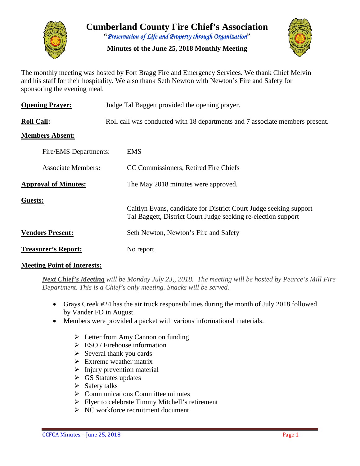

**Cumberland County Fire Chief's Association "***Preservation of Life and Property through Organization***"**

**Minutes of the June 25, 2018 Monthly Meeting**



The monthly meeting was hosted by Fort Bragg Fire and Emergency Services. We thank Chief Melvin and his staff for their hospitality. We also thank Seth Newton with Newton's Fire and Safety for sponsoring the evening meal.

| <b>Opening Prayer:</b>      | Judge Tal Baggett provided the opening prayer.                                                                                     |  |  |  |  |  |  |
|-----------------------------|------------------------------------------------------------------------------------------------------------------------------------|--|--|--|--|--|--|
| <b>Roll Call:</b>           | Roll call was conducted with 18 departments and 7 associate members present.                                                       |  |  |  |  |  |  |
| <b>Members Absent:</b>      |                                                                                                                                    |  |  |  |  |  |  |
| Fire/EMS Departments:       | <b>EMS</b>                                                                                                                         |  |  |  |  |  |  |
| <b>Associate Members:</b>   | CC Commissioners, Retired Fire Chiefs                                                                                              |  |  |  |  |  |  |
| <b>Approval of Minutes:</b> | The May 2018 minutes were approved.                                                                                                |  |  |  |  |  |  |
| Guests:                     | Caitlyn Evans, candidate for District Court Judge seeking support<br>Tal Baggett, District Court Judge seeking re-election support |  |  |  |  |  |  |
| <b>Vendors Present:</b>     | Seth Newton, Newton's Fire and Safety                                                                                              |  |  |  |  |  |  |
| <b>Treasurer's Report:</b>  | No report.                                                                                                                         |  |  |  |  |  |  |

## **Meeting Point of Interests:**

*Next Chief's Meeting will be Monday July 23,, 2018. The meeting will be hosted by Pearce's Mill Fire Department. This is a Chief's only meeting. Snacks will be served.*

- Grays Creek #24 has the air truck responsibilities during the month of July 2018 followed by Vander FD in August.
- Members were provided a packet with various informational materials.
	- $\triangleright$  Letter from Amy Cannon on funding
	- $\triangleright$  ESO / Firehouse information
	- $\triangleright$  Several thank you cards
	- $\triangleright$  Extreme weather matrix
	- $\triangleright$  Injury prevention material
	- $\triangleright$  GS Statutes updates
	- $\triangleright$  Safety talks
	- $\triangleright$  Communications Committee minutes
	- $\triangleright$  Flyer to celebrate Timmy Mitchell's retirement
	- $\triangleright$  NC workforce recruitment document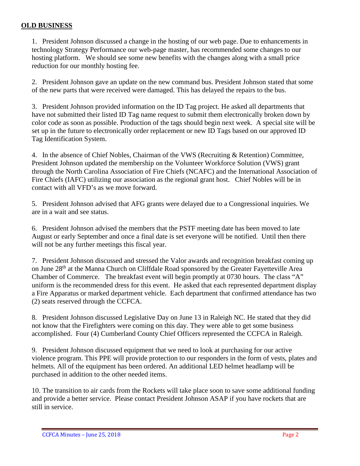## **OLD BUSINESS**

1. President Johnson discussed a change in the hosting of our web page. Due to enhancements in technology Strategy Performance our web-page master, has recommended some changes to our hosting platform. We should see some new benefits with the changes along with a small price reduction for our monthly hosting fee.

2. President Johnson gave an update on the new command bus. President Johnson stated that some of the new parts that were received were damaged. This has delayed the repairs to the bus.

3. President Johnson provided information on the ID Tag project. He asked all departments that have not submitted their listed ID Tag name request to submit them electronically broken down by color code as soon as possible. Production of the tags should begin next week. A special site will be set up in the future to electronically order replacement or new ID Tags based on our approved ID Tag Identification System.

4. In the absence of Chief Nobles, Chairman of the VWS (Recruiting & Retention) Committee, President Johnson updated the membership on the Volunteer Workforce Solution (VWS) grant through the North Carolina Association of Fire Chiefs (NCAFC) and the International Association of Fire Chiefs (IAFC) utilizing our association as the regional grant host. Chief Nobles will be in contact with all VFD's as we move forward.

5. President Johnson advised that AFG grants were delayed due to a Congressional inquiries. We are in a wait and see status.

6. President Johnson advised the members that the PSTF meeting date has been moved to late August or early September and once a final date is set everyone will be notified. Until then there will not be any further meetings this fiscal year.

7. President Johnson discussed and stressed the Valor awards and recognition breakfast coming up on June 28<sup>th</sup> at the Manna Church on Cliffdale Road sponsored by the Greater Fayetteville Area Chamber of Commerce. The breakfast event will begin promptly at 0730 hours. The class "A" uniform is the recommended dress for this event. He asked that each represented department display a Fire Apparatus or marked department vehicle. Each department that confirmed attendance has two (2) seats reserved through the CCFCA.

8. President Johnson discussed Legislative Day on June 13 in Raleigh NC. He stated that they did not know that the Firefighters were coming on this day. They were able to get some business accomplished. Four (4) Cumberland County Chief Officers represented the CCFCA in Raleigh.

9. President Johnson discussed equipment that we need to look at purchasing for our active violence program. This PPE will provide protection to our responders in the form of vests, plates and helmets. All of the equipment has been ordered. An additional LED helmet headlamp will be purchased in addition to the other needed items.

10. The transition to air cards from the Rockets will take place soon to save some additional funding and provide a better service. Please contact President Johnson ASAP if you have rockets that are still in service.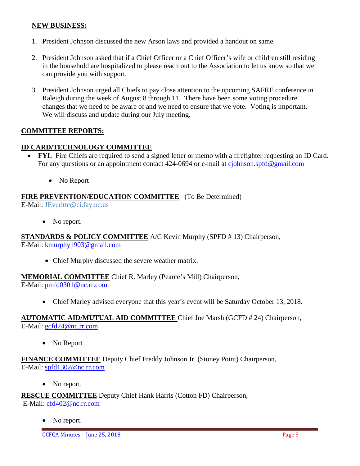### **NEW BUSINESS:**

- 1. President Johnson discussed the new Arson laws and provided a handout on same.
- 2. President Johnson asked that if a Chief Officer or a Chief Officer's wife or children still residing in the household are hospitalized to please reach out to the Association to let us know so that we can provide you with support.
- 3. President Johnson urged all Chiefs to pay close attention to the upcoming SAFRE conference in Raleigh during the week of August 8 through 11. There have been some voting procedure changes that we need to be aware of and we need to ensure that we vote. Voting is important. We will discuss and update during our July meeting.

## **COMMITTEE REPORTS:**

### **ID CARD/TECHNOLOGY COMMITTEE**

- **FYI.** Fire Chiefs are required to send a signed letter or memo with a firefighter requesting an ID Card. For any questions or an appointment contact 424-0694 or e-mail at [cjohnson.spfd@gmail.com](mailto:cjohnson.spfd@gmail.com)
	- No Report

## **FIRE PREVENTION/EDUCATION COMMITTEE** (To Be Determined)

E-Mail: JEveritte@ci.fay.nc.us

• No report.

**STANDARDS & POLICY COMMITTEE** A/C Kevin Murphy (SPFD # 13) Chairperson, E-Mail: [kmurphy1903@gmail.com](mailto:kmurphy1903@gmail.com)

• Chief Murphy discussed the severe weather matrix.

### **MEMORIAL COMMITTEE** Chief R. Marley (Pearce's Mill) Chairperson,

E-Mail: [pmfd0301@nc.rr.com](mailto:pmfd0301@nc.rr.com)

• Chief Marley advised everyone that this year's event will be Saturday October 13, 2018.

### **AUTOMATIC AID/MUTUAL AID COMMITTEE** Chief Joe Marsh (GCFD # 24) Chairperson, E-Mail: [gcfd24@nc.rr.com](mailto:gcfd24@nc.rr.com)

• No Report

## **FINANCE COMMITTEE** Deputy Chief Freddy Johnson Jr. (Stoney Point) Chairperson, E-Mail: [spfd1302@nc.rr.com](mailto:spfd1302@nc.rr.com)

• No report.

**RESCUE COMMITTEE** Deputy Chief Hank Harris (Cotton FD) Chairperson,

E-Mail: [cfd402@nc.rr.com](mailto:cfd402@nc.rr.com)

No report.

CCFCA Minutes – June 25, 2018 Page 3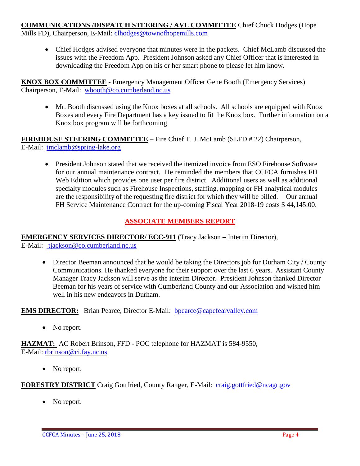# **COMMUNICATIONS /DISPATCH STEERING / AVL COMMITTEE** Chief Chuck Hodges (Hope

Mills FD), Chairperson, E-Mail: clhodges@townofhopemills.com

• Chief Hodges advised everyone that minutes were in the packets. Chief McLamb discussed the issues with the Freedom App. President Johnson asked any Chief Officer that is interested in downloading the Freedom App on his or her smart phone to please let him know.

**KNOX BOX COMMITTEE** - Emergency Management Officer Gene Booth (Emergency Services) Chairperson, E-Mail: [wbooth@co.cumberland.nc.us](mailto:wbooth@co.cumberland.nc.us)

• Mr. Booth discussed using the Knox boxes at all schools. All schools are equipped with Knox Boxes and every Fire Department has a key issued to fit the Knox box. Further information on a Knox box program will be forthcoming

**FIREHOUSE STEERING COMMITTEE** – Fire Chief T. J. McLamb (SLFD # 22) Chairperson, E-Mail: [tmclamb@spring-lake.org](mailto:tmclamb@spring-lake.org)

• President Johnson stated that we received the itemized invoice from ESO Firehouse Software for our annual maintenance contract. He reminded the members that CCFCA furnishes FH Web Edition which provides one user per fire district. Additional users as well as additional specialty modules such as Firehouse Inspections, staffing, mapping or FH analytical modules are the responsibility of the requesting fire district for which they will be billed. Our annual FH Service Maintenance Contract for the up-coming Fiscal Year 2018-19 costs \$ 44,145.00.

# **ASSOCIATE MEMBERS REPORT**

# **EMERGENCY SERVICES DIRECTOR/ ECC-911 (**Tracy Jackson **–** Interim Director),

E-Mail: [tjackson@co.cumberland.nc.us](mailto:tjackson@co.cumberland.nc.us)

• Director Beeman announced that he would be taking the Directors job for Durham City / County Communications. He thanked everyone for their support over the last 6 years. Assistant County Manager Tracy Jackson will serve as the interim Director. President Johnson thanked Director Beeman for his years of service with Cumberland County and our Association and wished him well in his new endeavors in Durham.

**EMS DIRECTOR:** Brian Pearce, Director E-Mail: bpearce@capefearvalley.com

• No report.

**HAZMAT:** AC Robert Brinson, FFD - POC telephone for HAZMAT is 584-9550, E-Mail: [rbrinson@ci.fay.nc.us](mailto:rbrinson@ci.fay.nc.us)

• No report.

**FORESTRY DISTRICT** Craig Gottfried, County Ranger, E-Mail: [craig.gottfried@ncagr.gov](mailto:craig.gottfried@ncagr.gov)

• No report.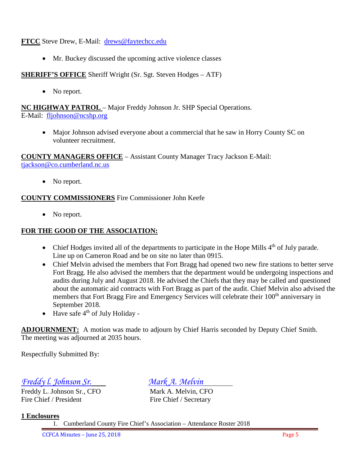**FTCC** Steve Drew, E-Mail: [drews@faytechcc.edu](mailto:drews@faytechcc.edu)

• Mr. Buckey discussed the upcoming active violence classes

**SHERIFF'S OFFICE** Sheriff Wright (Sr. Sgt. Steven Hodges – ATF)

• No report.

**NC HIGHWAY PATROL** – Major Freddy Johnson Jr. SHP Special Operations. E-Mail: [fljohnson@ncshp.org](mailto:fljohnson@ncshp.org)

• Major Johnson advised everyone about a commercial that he saw in Horry County SC on volunteer recruitment.

**COUNTY MANAGERS OFFICE** – Assistant County Manager Tracy Jackson E-Mail: [tjackson@co.cumberland.nc.us](mailto:tjackson@co.cumberland.nc.us)

• No report.

# **COUNTY COMMISSIONERS** Fire Commissioner John Keefe

• No report.

# **FOR THE GOOD OF THE ASSOCIATION:**

- Chief Hodges invited all of the departments to participate in the Hope Mills  $4<sup>th</sup>$  of July parade. Line up on Cameron Road and be on site no later than 0915.
- Chief Melvin advised the members that Fort Bragg had opened two new fire stations to better serve Fort Bragg. He also advised the members that the department would be undergoing inspections and audits during July and August 2018. He advised the Chiefs that they may be called and questioned about the automatic aid contracts with Fort Bragg as part of the audit. Chief Melvin also advised the members that Fort Bragg Fire and Emergency Services will celebrate their 100<sup>th</sup> anniversary in September 2018.
- Have safe  $4<sup>th</sup>$  of July Holiday -

**ADJOURNMENT:** A motion was made to adjourn by Chief Harris seconded by Deputy Chief Smith. The meeting was adjourned at 2035 hours.

Respectfully Submitted By:

*Freddy l. Johnson Sr. Mark A. Melvin*

Freddy L. Johnson Sr., CFO Mark A. Melvin, CFO Fire Chief / President Fire Chief / Secretary

## **1 Enclosures**

1. Cumberland County Fire Chief's Association – Attendance Roster 2018